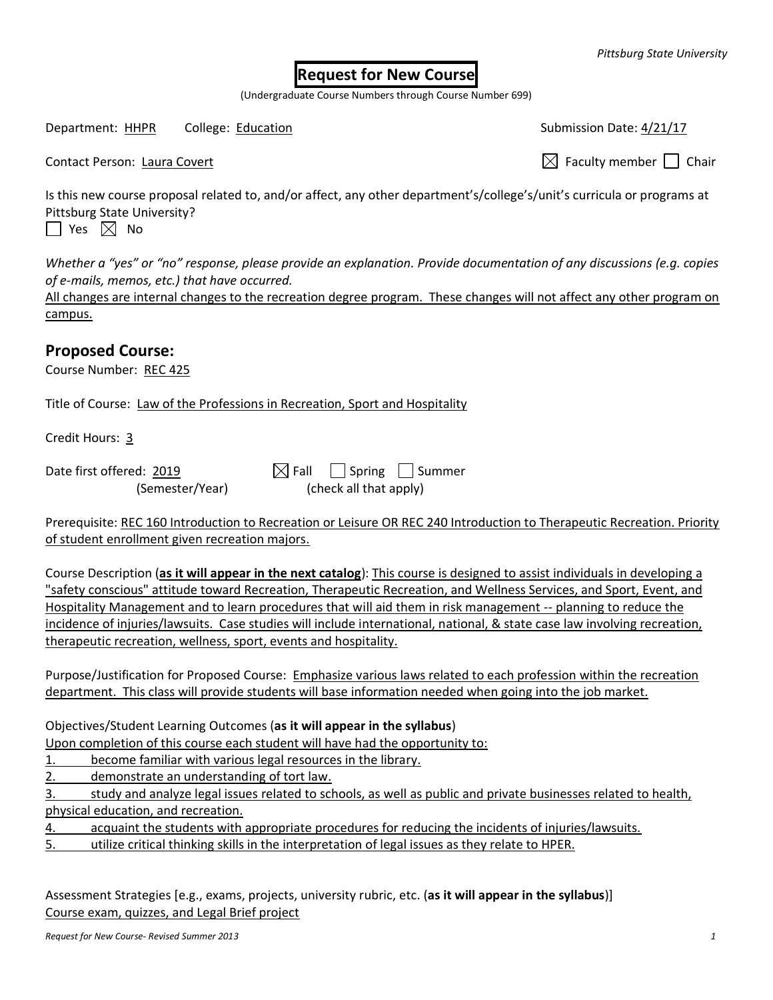## **Request for New Course**

(Undergraduate Course Numbers through Course Number 699)

Department: HHPR College: Education Submission Date: 4/21/17

Contact Person: Laura Covert  $\boxtimes$  Faculty member  $\Box$  Chair

Is this new course proposal related to, and/or affect, any other department's/college's/unit's curricula or programs at Pittsburg State University?  $\Box$  Yes  $\boxtimes$  No

*Whether a "yes" or "no" response, please provide an explanation. Provide documentation of any discussions (e.g. copies of e-mails, memos, etc.) that have occurred.*

All changes are internal changes to the recreation degree program. These changes will not affect any other program on campus.

## **Proposed Course:**

Course Number: REC 425

Title of Course: Law of the Professions in Recreation, Sport and Hospitality

Credit Hours: 3

| Date first offered: 2019 | $\boxtimes$ Fall Spring Summer |  |
|--------------------------|--------------------------------|--|
| (Semester/Year)          | (check all that apply)         |  |

Prerequisite: REC 160 Introduction to Recreation or Leisure OR REC 240 Introduction to Therapeutic Recreation. Priority of student enrollment given recreation majors.

Course Description (**as it will appear in the next catalog**): This course is designed to assist individuals in developing a "safety conscious" attitude toward Recreation, Therapeutic Recreation, and Wellness Services, and Sport, Event, and Hospitality Management and to learn procedures that will aid them in risk management -- planning to reduce the incidence of injuries/lawsuits. Case studies will include international, national, & state case law involving recreation, therapeutic recreation, wellness, sport, events and hospitality.

Purpose/Justification for Proposed Course: Emphasize various laws related to each profession within the recreation department. This class will provide students will base information needed when going into the job market.

Objectives/Student Learning Outcomes (**as it will appear in the syllabus**)

Upon completion of this course each student will have had the opportunity to:

1. become familiar with various legal resources in the library.

2. demonstrate an understanding of tort law.

3. study and analyze legal issues related to schools, as well as public and private businesses related to health, physical education, and recreation.

4. acquaint the students with appropriate procedures for reducing the incidents of injuries/lawsuits.

5. utilize critical thinking skills in the interpretation of legal issues as they relate to HPER.

Assessment Strategies [e.g., exams, projects, university rubric, etc. (**as it will appear in the syllabus**)] Course exam, quizzes, and Legal Brief project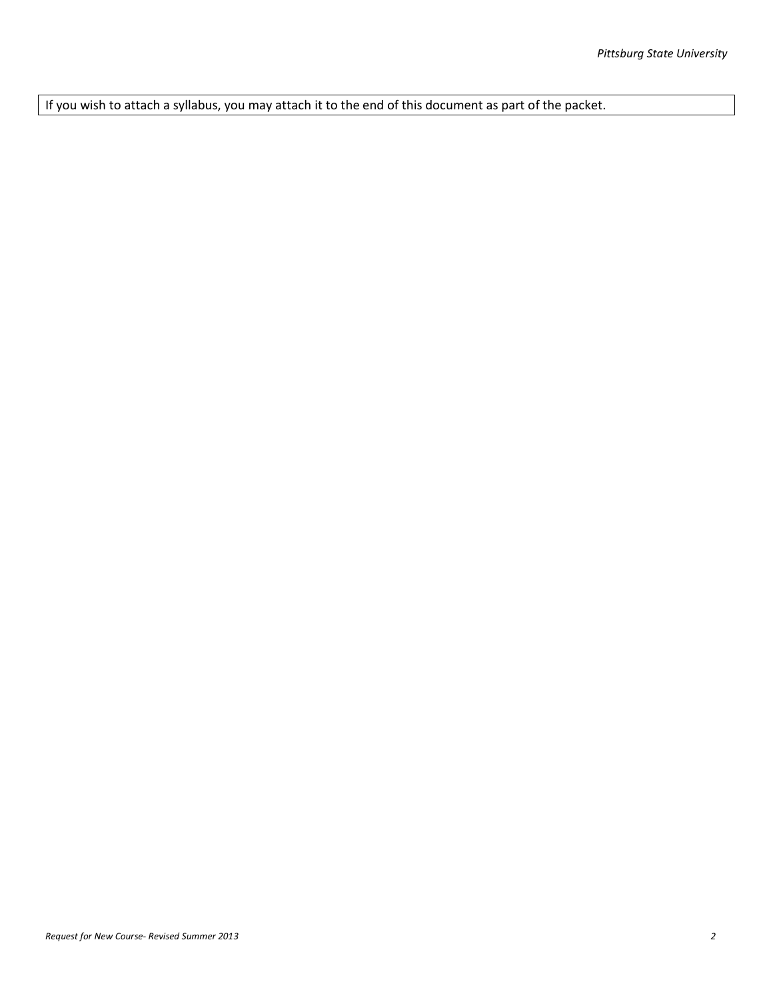If you wish to attach a syllabus, you may attach it to the end of this document as part of the packet.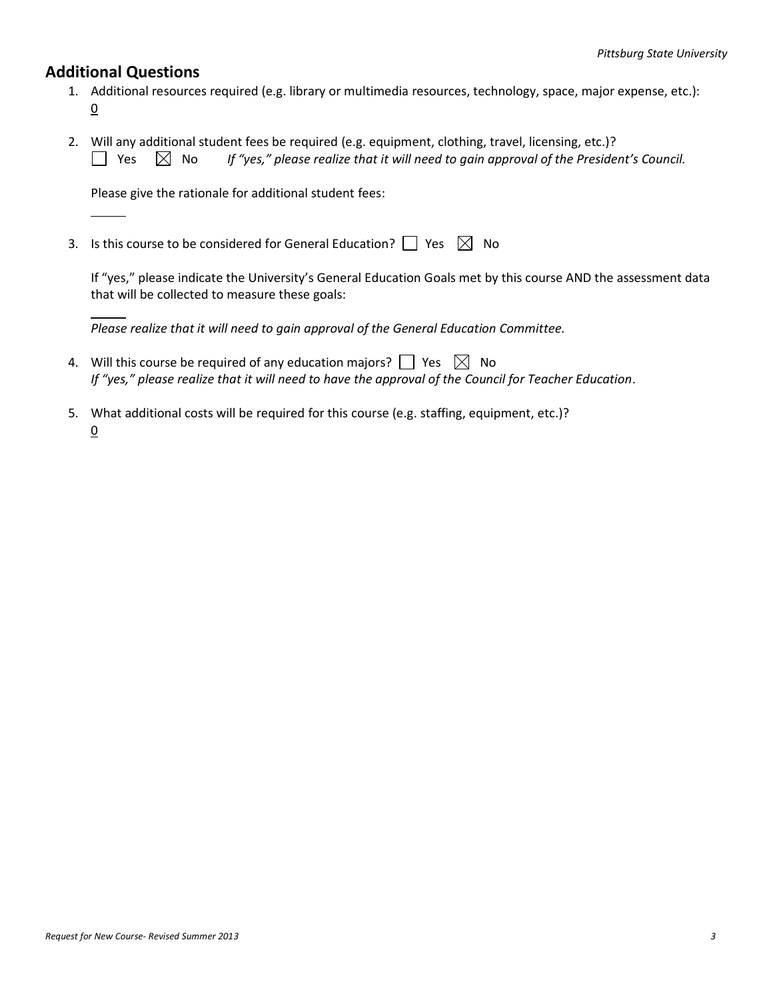## **Additional Questions**

- 1. Additional resources required (e.g. library or multimedia resources, technology, space, major expense, etc.):  $\underline{0}$
- 2. Will any additional student fees be required (e.g. equipment, clothing, travel, licensing, etc.)?  $\Box$  Yes  $\Box$  No *If "yes," please realize that it will need to gain approval of the President's Council.*

Please give the rationale for additional student fees:

3. Is this course to be considered for General Education?  $\Box$  Yes  $\boxtimes$  No

If "yes," please indicate the University's General Education Goals met by this course AND the assessment data that will be collected to measure these goals:

*Please realize that it will need to gain approval of the General Education Committee.*

- 4. Will this course be required of any education majors?  $\Box$  Yes  $\boxtimes$  No *If "yes," please realize that it will need to have the approval of the Council for Teacher Education*.
- 5. What additional costs will be required for this course (e.g. staffing, equipment, etc.)? 0